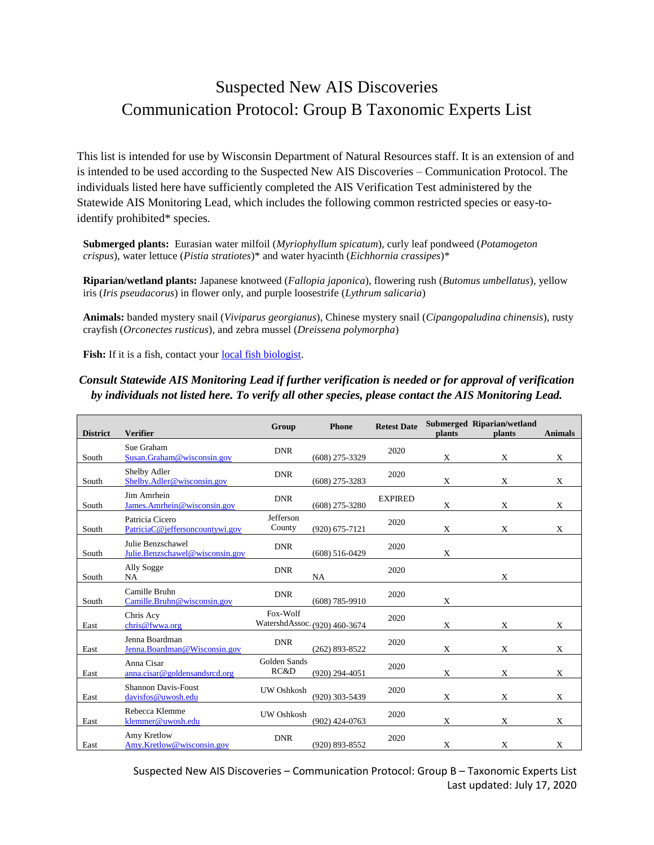## Suspected New AIS Discoveries Communication Protocol: Group B Taxonomic Experts List

This list is intended for use by Wisconsin Department of Natural Resources staff. It is an extension of and is intended to be used according to the Suspected New AIS Discoveries – Communication Protocol. The individuals listed here have sufficiently completed the AIS Verification Test administered by the Statewide AIS Monitoring Lead, which includes the following common restricted species or easy-toidentify prohibited\* species.

**Submerged plants:** Eurasian water milfoil (*Myriophyllum spicatum*), curly leaf pondweed (*Potamogeton crispus*), water lettuce (*Pistia stratiotes*)\* and water hyacinth (*Eichhornia crassipes*)\*

**Riparian/wetland plants:** Japanese knotweed (*Fallopia japonica*), flowering rush (*Butomus umbellatus*), yellow iris (*Iris pseudacorus*) in flower only, and purple loosestrife (*Lythrum salicaria*)

**Animals:** banded mystery snail (*Viviparus georgianus*), Chinese mystery snail (*Cipangopaludina chinensis*), rusty crayfish (*Orconectes rusticus*), and zebra mussel (*Dreissena polymorpha*)

Fish: If it is a fish, contact your <u>local fish biologist</u>.

## *Consult Statewide AIS Monitoring Lead if further verification is needed or for approval of verification by individuals not listed here. To verify all other species, please contact the AIS Monitoring Lead.*

| <b>District</b> | <b>Verifier</b>                                      | Group                | <b>Phone</b>                  | <b>Retest Date</b> | plants | Submerged Riparian/wetland<br>plants | <b>Animals</b> |
|-----------------|------------------------------------------------------|----------------------|-------------------------------|--------------------|--------|--------------------------------------|----------------|
| South           | Sue Graham<br>Susan.Graham@wisconsin.gov             | <b>DNR</b>           | $(608)$ 275-3329              | 2020               | X      | X                                    | X              |
| South           | <b>Shelby Adler</b><br>Shelby.Adler@wisconsin.gov    | <b>DNR</b>           | $(608)$ 275-3283              | 2020               | X      | X                                    | X              |
| South           | Jim Amrhein<br>James.Amrhein@wisconsin.gov           | <b>DNR</b>           | $(608)$ 275-3280              | <b>EXPIRED</b>     | X      | X                                    | X              |
| South           | Patricia Cicero<br>PatriciaC@jeffersoncountywi.gov   | Jefferson<br>County  | $(920)$ 675-7121              | 2020               | X      | X                                    | X              |
| South           | Julie Benzschawel<br>Julie.Benzschawel@wisconsin.gov | <b>DNR</b>           | $(608) 516 - 0429$            | 2020               | X      |                                      |                |
| South           | Ally Sogge<br>NA                                     | <b>DNR</b>           | NA                            | 2020               |        | X                                    |                |
| South           | Camille Bruhn<br>Camille.Bruhn@wisconsin.gov         | <b>DNR</b>           | $(608) 785 - 9910$            | 2020               | X      |                                      |                |
| East            | Chris Acy<br>chris@fwwa.org                          | Fox-Wolf             | WatershdAssoc. (920) 460-3674 | 2020               | X      | X                                    | X              |
| East            | Jenna Boardman<br>Jenna. Boardman@Wisconsin.gov      | <b>DNR</b>           | $(262)$ 893-8522              | 2020               | X      | X                                    | $\mathbf{x}$   |
| East            | Anna Cisar<br>anna.cisar@goldensandsrcd.org          | Golden Sands<br>RC&D | $(920)$ 294-4051              | 2020               | X      | X                                    | $\mathbf X$    |
| East            | <b>Shannon Davis-Foust</b><br>davisfos@uwosh.edu     | UW Oshkosh           | (920) 303-5439                | 2020               | X      | X                                    | X              |
| East            | Rebecca Klemme<br>klemmer@uwosh.edu                  | UW Oshkosh           | $(902)$ 424-0763              | 2020               | X      | X                                    | X              |
| East            | Amy Kretlow<br>Amy.Kretlow@wisconsin.gov             | <b>DNR</b>           | $(920) 893 - 8552$            | 2020               | Χ      | X                                    | X              |

Suspected New AIS Discoveries – Communication Protocol: Group B – Taxonomic Experts List Last updated: July 17, 2020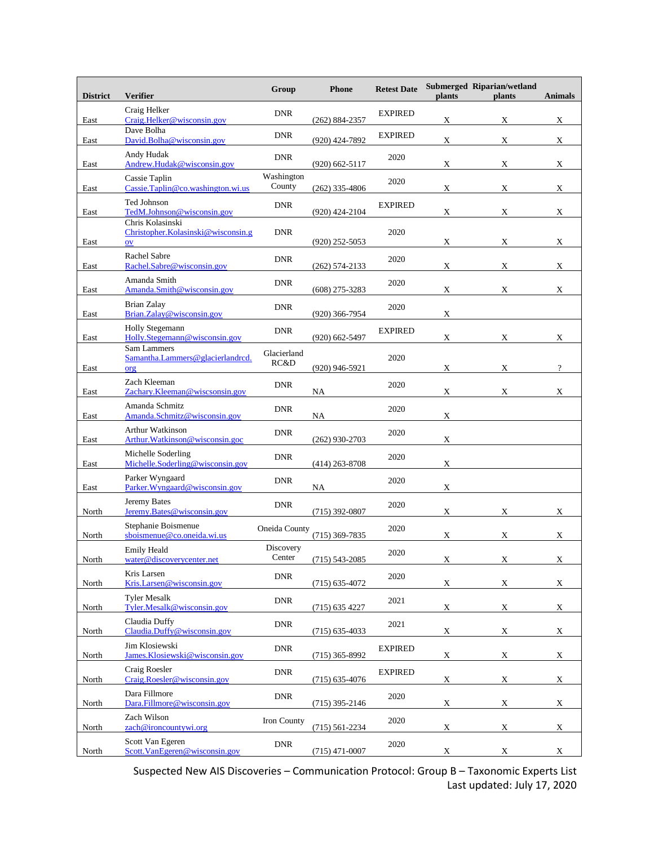| <b>District</b> | <b>Verifier</b>                                                      | Group                | <b>Phone</b>       | <b>Retest Date</b> | plants      | Submerged Riparian/wetland<br>plants | <b>Animals</b> |
|-----------------|----------------------------------------------------------------------|----------------------|--------------------|--------------------|-------------|--------------------------------------|----------------|
| East            | Craig Helker<br>Craig.Helker@wisconsin.gov                           | <b>DNR</b>           | $(262) 884 - 2357$ | <b>EXPIRED</b>     | X           | X                                    | X              |
| East            | Dave Bolha<br>David.Bolha@wisconsin.gov                              | <b>DNR</b>           | (920) 424-7892     | <b>EXPIRED</b>     | X           | X                                    | X              |
| East            | Andy Hudak<br>Andrew.Hudak@wisconsin.gov                             | <b>DNR</b>           | $(920)$ 662-5117   | 2020               | X           | X                                    | X              |
| East            | Cassie Taplin<br>Cassie.Taplin@co.washington.wi.us                   | Washington<br>County | $(262)$ 335-4806   | 2020               | X           | X                                    | X              |
| East            | Ted Johnson<br>TedM.Johnson@wisconsin.gov                            | <b>DNR</b>           | $(920)$ 424-2104   | <b>EXPIRED</b>     | X           | X                                    | X              |
| East            | Chris Kolasinski<br>Christopher. Kolasinski@wisconsin.g<br><b>OV</b> | <b>DNR</b>           | $(920)$ 252-5053   | 2020               | X           | X                                    | X              |
| East            | Rachel Sabre<br>Rachel.Sabre@wisconsin.gov                           | <b>DNR</b>           | (262) 574-2133     | 2020               | Х           | X                                    | X              |
| East            | Amanda Smith<br>Amanda.Smith@wisconsin.gov                           | <b>DNR</b>           | $(608)$ 275-3283   | 2020               | X           | X                                    | X              |
| East            | <b>Brian Zalay</b><br>Brian.Zalay@wisconsin.gov                      | <b>DNR</b>           | $(920)$ 366-7954   | 2020               | X           |                                      |                |
| East            | <b>Holly Stegemann</b><br>Holly.Stegemann@wisconsin.gov              | <b>DNR</b>           | $(920)$ 662-5497   | <b>EXPIRED</b>     | X           | X                                    | X              |
| East            | Sam Lammers<br>Samantha.Lammers@glacierlandrcd.<br>org               | Glacierland<br>RC&D  | $(920)$ 946-5921   | 2020               | X           | X                                    | $\overline{?}$ |
| East            | Zach Kleeman<br>Zachary.Kleeman@wiscsonsin.gov                       | <b>DNR</b>           | NA                 | 2020               | X           | X                                    | X              |
| East            | Amanda Schmitz<br>Amanda.Schmitz@wisconsin.gov                       | <b>DNR</b>           | NA                 | 2020               | X           |                                      |                |
| East            | <b>Arthur Watkinson</b><br>Arthur. Watkinson@wisconsin.goc           | <b>DNR</b>           | $(262)$ 930-2703   | 2020               | X           |                                      |                |
| East            | Michelle Soderling<br>Michelle.Soderling@wisconsin.gov               | <b>DNR</b>           | $(414)$ 263-8708   | 2020               | X           |                                      |                |
| East            | Parker Wyngaard<br>Parker. Wyngaard@wisconsin.gov                    | <b>DNR</b>           | NA                 | 2020               | X           |                                      |                |
| North           | Jeremy Bates<br>Jeremy.Bates@wisconsin.gov                           | <b>DNR</b>           | $(715)$ 392-0807   | 2020               | X           | X                                    | X              |
| North           | Stephanie Boismenue<br>sboismenue@co.oneida.wi.us                    | Oneida County        | $(715)$ 369-7835   | 2020               | X           | X                                    | X              |
| North           | <b>Emily Heald</b><br>water@discoverycenter.net                      | Discovery<br>Center  | $(715) 543 - 2085$ | 2020               | X           | X                                    | X              |
| North           | Kris Larsen<br>Kris.Larsen@wisconsin.gov                             | <b>DNR</b>           | $(715) 635 - 4072$ | 2020               | X           | X                                    | $\mathbf X$    |
| North           | <b>Tyler Mesalk</b><br>Tyler.Mesalk@wisconsin.gov                    | <b>DNR</b>           | $(715)$ 635 4227   | 2021               | X           | $\mathbf X$                          | X              |
| North           | Claudia Duffy<br>Claudia.Duffy@wisconsin.gov                         | <b>DNR</b>           | $(715)$ 635-4033   | 2021               | X           | X                                    | X              |
| North           | Jim Klosiewski<br>James.Klosiewski@wisconsin.gov                     | <b>DNR</b>           | $(715)$ 365-8992   | <b>EXPIRED</b>     | $\mathbf X$ | $\mathbf X$                          | X              |
| North           | Craig Roesler<br>Craig.Roesler@wisconsin.gov                         | <b>DNR</b>           | $(715) 635 - 4076$ | <b>EXPIRED</b>     | X           | X                                    | X              |
| North           | Dara Fillmore<br>Dara.Fillmore@wisconsin.gov                         | <b>DNR</b>           | (715) 395-2146     | 2020               | X           | $\mathbf X$                          | $\mathbf X$    |
| North           | Zach Wilson<br>zach@ironcountywi.org                                 | Iron County          | $(715) 561 - 2234$ | 2020               | X           | X                                    | X              |
| North           | Scott Van Egeren<br>Scott.VanEgeren@wisconsin.gov                    | ${\rm DNR}$          | $(715)$ 471-0007   | 2020               | X           | $\mathbf X$                          | X              |

Suspected New AIS Discoveries – Communication Protocol: Group B – Taxonomic Experts List Last updated: July 17, 2020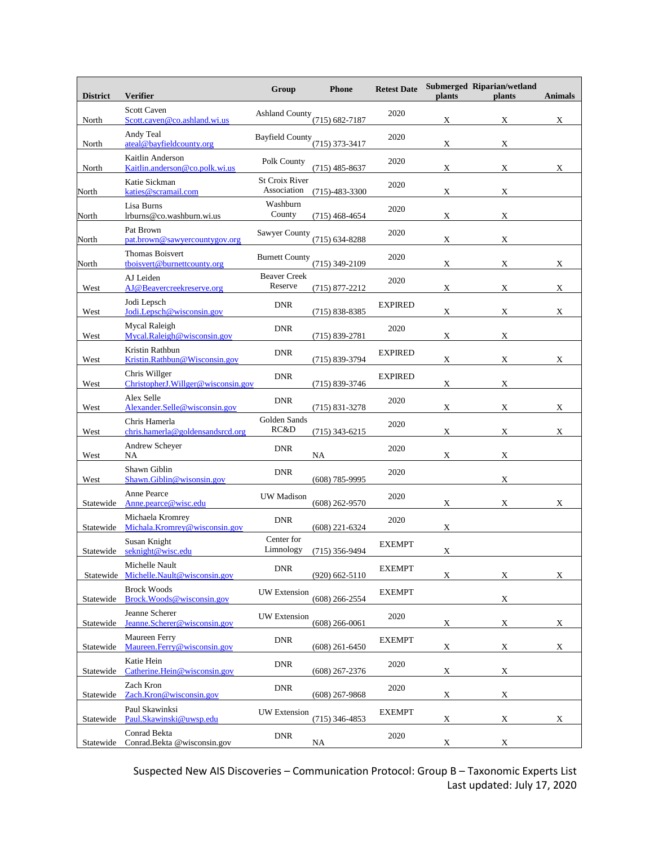| <b>District</b> | <b>Verifier</b>                                     | Group                          | <b>Phone</b>       | <b>Retest Date</b> | plants      | Submerged Riparian/wetland<br>plants | <b>Animals</b> |
|-----------------|-----------------------------------------------------|--------------------------------|--------------------|--------------------|-------------|--------------------------------------|----------------|
| North           | <b>Scott Caven</b><br>Scott.caven@co.ashland.wi.us  | <b>Ashland County</b>          | $(715) 682 - 7187$ | 2020               | X           | X                                    | X              |
| North           | Andy Teal<br>ateal@bayfieldcounty.org               | <b>Bayfield County</b>         | $(715)$ 373-3417   | 2020               | X           | X                                    |                |
| North           | Kaitlin Anderson<br>Kaitlin.anderson@co.polk.wi.us  | Polk County                    | $(715)$ 485-8637   | 2020               | X           | $\mathbf X$                          | X              |
| North           | Katie Sickman<br>katies@scramail.com                | St Croix River<br>Association  | $(715)-483-3300$   | 2020               | X           | X                                    |                |
| North           | Lisa Burns<br>lrburns@co.washburn.wi.us             | Washburn<br>County             | $(715)$ 468-4654   | 2020               | X           | X                                    |                |
| North           | Pat Brown<br>pat.brown@sawyercountygov.org          | Sawyer County                  | $(715) 634 - 8288$ | 2020               | Х           | X                                    |                |
| North           | Thomas Boisvert<br>tboisvert@burnettcounty.org      | <b>Burnett County</b>          | $(715)$ 349-2109   | 2020               | X           | X                                    | X              |
| West            | AJ Leiden<br>AJ@Beavercreekreserve.org              | <b>Beaver Creek</b><br>Reserve | $(715)$ 877-2212   | 2020               | X           | X                                    | X              |
| West            | Jodi Lepsch<br>Jodi.Lepsch@wisconsin.gov            | <b>DNR</b>                     | $(715) 838 - 8385$ | <b>EXPIRED</b>     | X           | X                                    | X              |
| West            | Mycal Raleigh<br>Mycal.Raleigh@wisconsin.gov        | <b>DNR</b>                     | $(715) 839 - 2781$ | 2020               | X           | X                                    |                |
| West            | Kristin Rathbun<br>Kristin.Rathbun@Wisconsin.gov    | <b>DNR</b>                     | $(715) 839 - 3794$ | <b>EXPIRED</b>     | X           | X                                    | X              |
| West            | Chris Willger<br>ChristopherJ.Willger@wisconsin.gov | <b>DNR</b>                     | $(715) 839 - 3746$ | <b>EXPIRED</b>     | Χ           | X                                    |                |
| West            | Alex Selle<br>Alexander.Selle@wisconsin.gov         | <b>DNR</b>                     | $(715) 831 - 3278$ | 2020               | X           | X                                    | X              |
| West            | Chris Hamerla<br>chris.hamerla@goldensandsrcd.org   | Golden Sands<br>RC&D           | $(715)$ 343-6215   | 2020               | Х           | X                                    | X              |
| West            | Andrew Scheyer<br>NA                                | <b>DNR</b>                     | NA                 | 2020               | X           | X                                    |                |
| West            | Shawn Giblin<br>Shawn.Giblin@wisonsin.gov           | <b>DNR</b>                     | $(608)$ 785-9995   | 2020               |             | X                                    |                |
| Statewide       | <b>Anne Pearce</b><br>Anne.pearce@wisc.edu          | <b>UW</b> Madison              | $(608)$ 262-9570   | 2020               | X           | X                                    | X              |
| Statewide       | Michaela Kromrey<br>Michala.Kromrey@wisconsin.gov   | <b>DNR</b>                     | $(608)$ 221-6324   | 2020               | X           |                                      |                |
| Statewide       | Susan Knight<br>seknight@wisc.edu                   | Center for<br>Limnology        | $(715)$ 356-9494   | <b>EXEMPT</b>      | $\mathbf X$ |                                      |                |
| Statewide       | Michelle Nault<br>Michelle.Nault@wisconsin.gov      | <b>DNR</b>                     | $(920)$ 662-5110   | <b>EXEMPT</b>      | X           | X                                    | X              |
| Statewide       | <b>Brock Woods</b><br>Brock.Woods@wisconsin.gov     | <b>UW</b> Extension            | $(608)$ 266-2554   | <b>EXEMPT</b>      |             | $\mathbf X$                          |                |
| Statewide       | Jeanne Scherer<br>Jeanne.Scherer@wisconsin.gov      | <b>UW</b> Extension            | $(608)$ 266-0061   | 2020               | X           | $\mathbf X$                          | X              |
| Statewide       | Maureen Ferry<br>Maureen.Ferry@wisconsin.gov        | <b>DNR</b>                     | $(608)$ 261-6450   | <b>EXEMPT</b>      | $\mathbf X$ | $\mathbf X$                          | X              |
| Statewide       | Katie Hein<br>Catherine.Hein@wisconsin.gov          | <b>DNR</b>                     | $(608)$ 267-2376   | 2020               | X           | $\mathbf X$                          |                |
| Statewide       | Zach Kron<br>Zach.Kron@wisconsin.gov                | <b>DNR</b>                     | $(608)$ 267-9868   | 2020               | X           | X                                    |                |
| Statewide       | Paul Skawinksi<br>Paul.Skawinski@uwsp.edu           | <b>UW</b> Extension            | $(715)$ 346-4853   | <b>EXEMPT</b>      | X           | X                                    | X              |
| Statewide       | Conrad Bekta<br>Conrad.Bekta @wisconsin.gov         | <b>DNR</b>                     | NA                 | 2020               | X           | X                                    |                |

Suspected New AIS Discoveries – Communication Protocol: Group B – Taxonomic Experts List Last updated: July 17, 2020